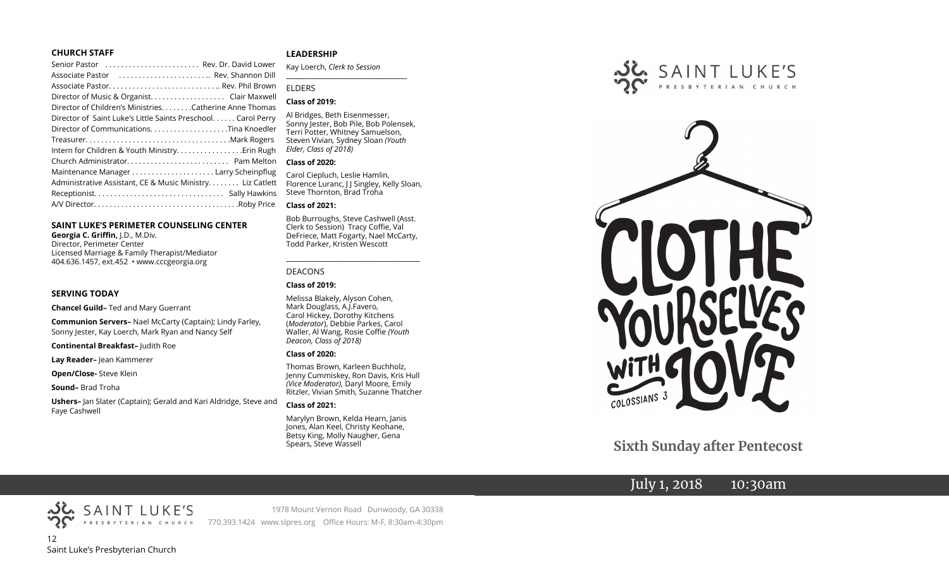#### **CHURCH STAFF**

| Senior Pastor (etc Rev. Dr. David Lower                      |
|--------------------------------------------------------------|
| Associate Pastor  Rev. Shannon Dill                          |
|                                                              |
|                                                              |
| Director of Children's Ministries. Catherine Anne Thomas     |
| Director of Saint Luke's Little Saints Preschool Carol Perry |
| Director of CommunicationsTina Knoedler                      |
|                                                              |
| Intern for Children & Youth Ministry Erin Rugh               |
|                                                              |
|                                                              |
| Administrative Assistant, CE & Music Ministry Liz Catlett    |
|                                                              |
|                                                              |
|                                                              |

#### **SAINT LUKE'S PERIMETER COUNSELING CENTER**

**Georgia C. Griffin,** J.D., M.Div. Director, Perimeter Center Licensed Marriage & Family Therapist/Mediator 404.636.1457, ext.452 • www.cccgeorgia.org

#### **SERVING TODAY**

**Chancel Guild–** Ted and Mary Guerrant

**Communion Servers–** Nael McCarty (Captain); Lindy Farley, Sonny Jester, Kay Loerch, Mark Ryan and Nancy Self

**Continental Breakfast–** Judith Roe

**Lay Reader–** Jean Kammerer

**Open/Close-** Steve Klein

**Sound–** Brad Troha

**Ushers–** Jan Slater (Captain); Gerald and Kari Aldridge, Steve and Faye Cashwell

#### **LEADERSHIP**

Kay Loerch, *Clerk to Session* 

**\_\_\_\_\_\_\_\_\_\_\_\_\_\_\_\_\_\_\_\_\_\_\_\_\_\_\_\_\_\_\_\_\_\_\_\_\_\_\_**

#### ELDERS

#### **Class of 2019:**

Al Bridges, Beth Eisenmesser, Sonny Jester, Bob Pile, Bob Polensek, Terri Potter, Whitney Samuelson, Steven Vivian*,* Sydney Sloan *(Youth Elder, Class of 2018)*

#### **Class of 2020:**

Carol Ciepluch, Leslie Hamlin, Florence Luranc, J J Singley, Kelly Sloan, Steve Thornton, Brad Troha

#### **Class of 2021:**

Bob Burroughs, Steve Cashwell (Asst. Clerk to Session) Tracy Coffie, Val DeFriece, Matt Fogarty, Nael McCarty, Todd Parker, Kristen Wescott

\_\_\_\_\_\_\_\_\_\_\_\_\_\_\_\_\_\_\_\_\_\_\_\_\_\_\_\_\_\_\_\_\_\_\_\_

#### DEACONS

#### **Class of 2019:**

Melissa Blakely, Alyson Cohen, Mark Douglass, A.J.Favero, Carol Hickey, Dorothy Kitchens (*Moderator*), Debbie Parkes, Carol Waller, Al Wang, Rosie Coffie *(Youth Deacon, Class of 2018)* 

#### **Class of 2020:**

Thomas Brown, Karleen Buchholz, Jenny Cummiskey, Ron Davis, Kris Hull *(Vice Moderator),* Daryl Moore, Emily Ritzler, Vivian Smith, Suzanne Thatcher

#### **Class of 2021:**

Marylyn Brown, Kelda Hearn, Janis Jones, Alan Keel, Christy Keohane, Betsy King, Molly Naugher, Gena Spears, Steve Wassell





 **Sixth Sunday after Pentecost**

# July 1, 2018 10:30am

12 Saint Luke's Presbyterian Church

SAINT LUKE'S

1978 Mount Vernon Road Dunwoody, GA 30338 770.393.1424 www.slpres.org Office Hours: M-F, 8:30am-4:30pm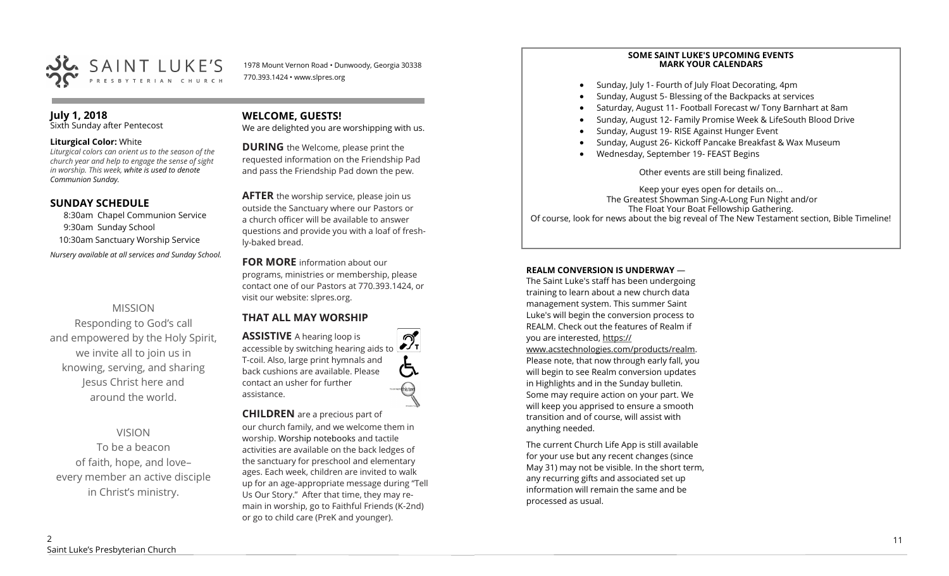

1978 Mount Vernon Road • Dunwoody, Georgia 30338 770.393.1424 • www.slpres.org

# **July 1, 2018**

Sixth Sunday after Pentecost

#### **Liturgical Color:** White

*Liturgical colors can orient us to the season of the church year and help to engage the sense of sight in worship. This week, white is used to denote Communion Sunday.*

# **SUNDAY SCHEDULE**

8:30am Chapel Communion Service 9:30am Sunday School 10:30am Sanctuary Worship Service *Nursery available at all services and Sunday School.* 

# MISSION

Responding to God's call and empowered by the Holy Spirit, we invite all to join us in knowing, serving, and sharing Jesus Christ here and around the world.

#### VISION

To be a beacon of faith, hope, and love– every member an active disciple in Christ's ministry.

## **WELCOME, GUESTS!**

We are delighted you are worshipping with us.

**DURING** the Welcome, please print the requested information on the Friendship Pad and pass the Friendship Pad down the pew.

**AFTER** the worship service, please join us outside the Sanctuary where our Pastors or a church officer will be available to answer questions and provide you with a loaf of freshly-baked bread.

**FOR MORE** information about our programs, ministries or membership, please contact one of our Pastors at 770.393.1424, or visit our website: slpres.org.

# **THAT ALL MAY WORSHIP**

**ASSISTIVE** A hearing loop is  $\mathcal{D}_{\mathrm{r}}$ accessible by switching hearing aids to T-coil. Also, large print hymnals and back cushions are available. Please contact an usher for further assistance.

#### **CHILDREN** are a precious part of

our church family, and we welcome them in worship. Worship notebooks and tactile activities are available on the back ledges of the sanctuary for preschool and elementary ages. Each week, children are invited to walk up for an age-appropriate message during "Tell Us Our Story." After that time, they may remain in worship, go to Faithful Friends (K-2nd) or go to child care (PreK and younger).

#### **SOME SAINT LUKE'S UPCOMING EVENTS MARK YOUR CALENDARS**

- Sunday, July 1- Fourth of July Float Decorating, 4pm
- Sunday, August 5- Blessing of the Backpacks at services
- Saturday, August 11- Football Forecast w/ Tony Barnhart at 8am
- Sunday, August 12- Family Promise Week & LifeSouth Blood Drive
- Sunday, August 19- RISE Against Hunger Event
- Sunday, August 26- Kickoff Pancake Breakfast & Wax Museum
- Wednesday, September 19- FEAST Begins

#### Other events are still being finalized.

Keep your eyes open for details on... The Greatest Showman Sing-A-Long Fun Night and/or The Float Your Boat Fellowship Gathering. Of course, look for news about the big reveal of The New Testament section, Bible Timeline!

#### **REALM CONVERSION IS UNDERWAY** —

The Saint Luke's staff has been undergoing training to learn about a new church data management system. This summer Saint Luke's will begin the conversion process to REALM. Check out the features of Realm if you are interested, https:// www.acstechnologies.com/products/realm. Please note, that now through early fall, you will begin to see Realm conversion updates in Highlights and in the Sunday bulletin. Some may require action on your part. We will keep you apprised to ensure a smooth transition and of course, will assist with anything needed.

The current Church Life App is still available for your use but any recent changes (since May 31) may not be visible. In the short term, any recurring gifts and associated set up information will remain the same and be processed as usual.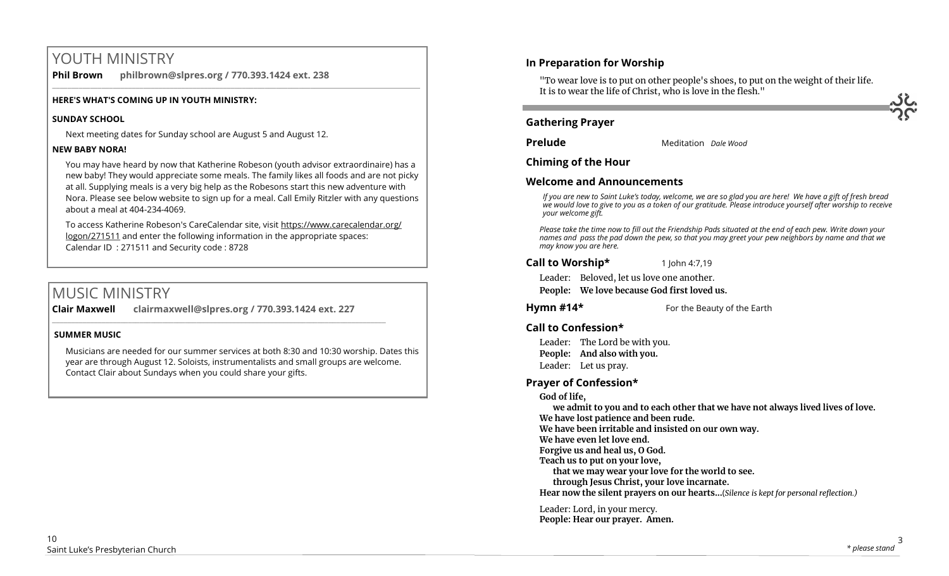# YOUTH MINISTRY

**Phil Brown philbrown@slpres.org / 770.393.1424 ext. 238**   $\_$  ,  $\_$  ,  $\_$  ,  $\_$  ,  $\_$  ,  $\_$  ,  $\_$  ,  $\_$  ,  $\_$  ,  $\_$  ,  $\_$  ,  $\_$  ,  $\_$  ,  $\_$  ,  $\_$  ,  $\_$  ,  $\_$  ,  $\_$  ,  $\_$  ,  $\_$  ,  $\_$  ,  $\_$  ,  $\_$  ,  $\_$  ,  $\_$  ,  $\_$  ,  $\_$  ,  $\_$  ,  $\_$  ,  $\_$  ,  $\_$  ,  $\_$  ,  $\_$  ,  $\_$  ,  $\_$  ,  $\_$  ,  $\_$  ,

## **HERE'S WHAT'S COMING UP IN YOUTH MINISTRY:**

#### **SUNDAY SCHOOL**

Next meeting dates for Sunday school are August 5 and August 12.

### **NEW BABY NORA!**

You may have heard by now that Katherine Robeson (youth advisor extraordinaire) has a new baby! They would appreciate some meals. The family likes all foods and are not picky at all. Supplying meals is a very big help as the Robesons start this new adventure with Nora. Please see below website to sign up for a meal. Call Emily Ritzler with any questions about a meal at 404-234-4069.

To access Katherine Robeson's CareCalendar site, visit [https://www.carecalendar.org/](https://www.carecalendar.org/logon/271511) [logon/271511](https://www.carecalendar.org/logon/271511) and enter the following information in the appropriate spaces: Calendar ID : 271511 and Security code : 8728

# MUSIC MINISTRY

**Clair Maxwell clairmaxwell@slpres.org / 770.393.1424 ext. 227** 

 $\_$  , and the set of the set of the set of the set of the set of the set of the set of the set of the set of the set of the set of the set of the set of the set of the set of the set of the set of the set of the set of th

# **SUMMER MUSIC**

Musicians are needed for our summer services at both 8:30 and 10:30 worship. Dates this year are through August 12. Soloists, instrumentalists and small groups are welcome. Contact Clair about Sundays when you could share your gifts.

# **In Preparation for Worship**

"To wear love is to put on other people's shoes, to put on the weight of their life. It is to wear the life of Christ, who is love in the flesh."

**Gathering Prayer** 

**Prelude** Meditation *Dale Wood* 

**Chiming of the Hour**

# **Welcome and Announcements**

*If you are new to Saint Luke's today, welcome, we are so glad you are here! We have a gift of fresh bread we would love to give to you as a token of our gratitude. Please introduce yourself after worship to receive your welcome gift.*

*Please take the time now to fill out the Friendship Pads situated at the end of each pew. Write down your names and pass the pad down the pew, so that you may greet your pew neighbors by name and that we may know you are here.*

# **Call to Worship\*** 1 John 4:7,19

Leader: Beloved, let us love one another.

**People: We love because God first loved us.**

**Hymn #14\*** For the Beauty of the Earth

# **Call to Confession\***

Leader: The Lord be with you. **People: And also with you.** Leader: Let us pray.

# **Prayer of Confession\***

**God of life,**

**we admit to you and to each other that we have not always lived lives of love. We have lost patience and been rude. We have been irritable and insisted on our own way. We have even let love end. Forgive us and heal us, O God. Teach us to put on your love, that we may wear your love for the world to see. through Jesus Christ, your love incarnate.**

**Hear now the silent prayers on our hearts...**(*Silence is kept for personal reflection.)*

Leader: Lord, in your mercy. **People: Hear our prayer. Amen.**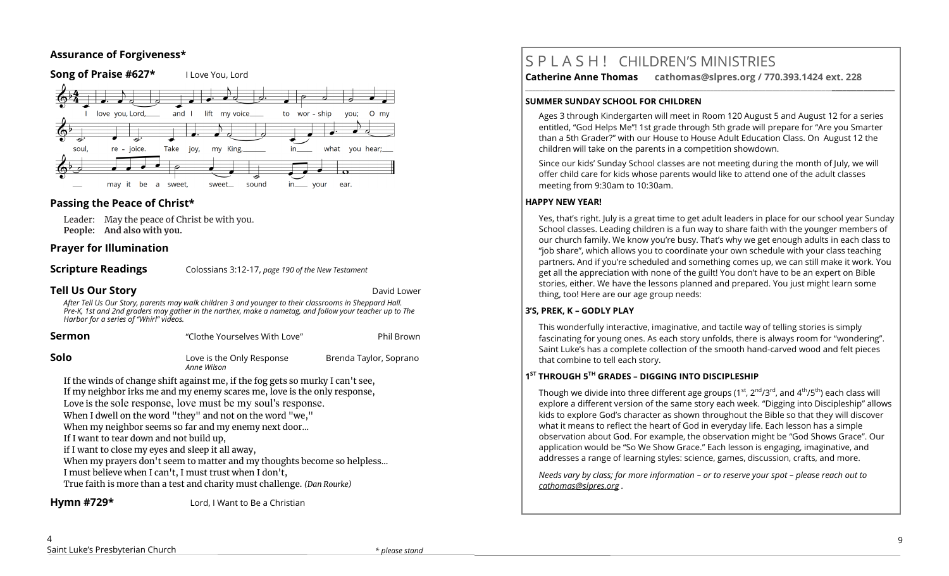# **Assurance of Forgiveness\***



# **Passing the Peace of Christ\***

Leader: May the peace of Christ be with you. **People: And also with you.** 

# **Prayer for Illumination**

| <b>Scripture Readings</b>                                                                                                                                                                                                                                                                                                                                                                                                                                                                                                                                                                                                                                         | Colossians 3:12-17, page 190 of the New Testament                                                                                                                                                                 |                        |  |  |  |
|-------------------------------------------------------------------------------------------------------------------------------------------------------------------------------------------------------------------------------------------------------------------------------------------------------------------------------------------------------------------------------------------------------------------------------------------------------------------------------------------------------------------------------------------------------------------------------------------------------------------------------------------------------------------|-------------------------------------------------------------------------------------------------------------------------------------------------------------------------------------------------------------------|------------------------|--|--|--|
| <b>Tell Us Our Story</b>                                                                                                                                                                                                                                                                                                                                                                                                                                                                                                                                                                                                                                          |                                                                                                                                                                                                                   | David Lower            |  |  |  |
| Harbor for a series of "Whirl" videos.                                                                                                                                                                                                                                                                                                                                                                                                                                                                                                                                                                                                                            | After Tell Us Our Story, parents may walk children 3 and younger to their classrooms in Sheppard Hall.<br>Pre-K, 1st and 2nd graders may gather in the narthex, make a nametag, and follow your teacher up to The |                        |  |  |  |
| Sermon                                                                                                                                                                                                                                                                                                                                                                                                                                                                                                                                                                                                                                                            | "Clothe Yourselves With Love"                                                                                                                                                                                     | Phil Brown             |  |  |  |
| Solo                                                                                                                                                                                                                                                                                                                                                                                                                                                                                                                                                                                                                                                              | Love is the Only Response<br>Anne Wilson                                                                                                                                                                          | Brenda Taylor, Soprano |  |  |  |
| If the winds of change shift against me, if the fog gets so murky I can't see,<br>If my neighbor irks me and my enemy scares me, love is the only response,<br>Love is the sole response, love must be my soul's response.<br>When I dwell on the word "they" and not on the word "we,"<br>When my neighbor seems so far and my enemy next door<br>If I want to tear down and not build up,<br>if I want to close my eyes and sleep it all away,<br>When my prayers don't seem to matter and my thoughts become so helpless<br>I must believe when I can't, I must trust when I don't,<br>True faith is more than a test and charity must challenge. (Dan Rourke) |                                                                                                                                                                                                                   |                        |  |  |  |
| Hymn #729*                                                                                                                                                                                                                                                                                                                                                                                                                                                                                                                                                                                                                                                        | Lord, l Want to Be a Christian                                                                                                                                                                                    |                        |  |  |  |

# S P L A S H ! CHILDREN'S MINISTRIES

**Catherine Anne Thomas cathomas@slpres.org / 770.393.1424 ext. 228** 

#### **SUMMER SUNDAY SCHOOL FOR CHILDREN**

Ages 3 through Kindergarten will meet in Room 120 August 5 and August 12 for a series entitled, "God Helps Me"! 1st grade through 5th grade will prepare for "Are you Smarter than a 5th Grader?" with our House to House Adult Education Class. On August 12 the children will take on the parents in a competition showdown.

**\_\_\_\_\_\_\_\_\_\_\_\_\_\_\_\_\_\_\_\_\_\_\_\_\_\_\_\_\_\_\_\_\_\_\_\_\_\_\_\_\_\_\_\_\_\_\_\_\_\_\_\_\_\_\_\_\_\_\_\_\_\_\_\_\_\_\_\_\_\_\_\_\_\_\_\_\_\_\_\_\_\_\_\_\_\_\_\_\_\_\_\_\_\_\_\_\_\_\_\_\_\_\_\_\_\_** 

Since our kids' Sunday School classes are not meeting during the month of July, we will offer child care for kids whose parents would like to attend one of the adult classes meeting from 9:30am to 10:30am.

#### **HAPPY NEW YEAR!**

Yes, that's right. July is a great time to get adult leaders in place for our school year Sunday School classes. Leading children is a fun way to share faith with the younger members of our church family. We know you're busy. That's why we get enough adults in each class to "job share", which allows you to coordinate your own schedule with your class teaching partners. And if you're scheduled and something comes up, we can still make it work. You get all the appreciation with none of the guilt! You don't have to be an expert on Bible stories, either. We have the lessons planned and prepared. You just might learn some thing, too! Here are our age group needs:

#### **3'S, PREK, K – GODLY PLAY**

This wonderfully interactive, imaginative, and tactile way of telling stories is simply fascinating for young ones. As each story unfolds, there is always room for "wondering". Saint Luke's has a complete collection of the smooth hand-carved wood and felt pieces that combine to tell each story.

#### **1 ST THROUGH 5TH GRADES – DIGGING INTO DISCIPLESHIP**

Though we divide into three different age groups ( $1<sup>st</sup>$ ,  $2<sup>nd</sup>/3<sup>rd</sup>$ , and  $4<sup>th</sup>/5<sup>th</sup>$ ) each class will explore a different version of the same story each week. "Digging into Discipleship" allows kids to explore God's character as shown throughout the Bible so that they will discover what it means to reflect the heart of God in everyday life. Each lesson has a simple observation about God. For example, the observation might be "God Shows Grace". Our application would be "So We Show Grace." Each lesson is engaging, imaginative, and addresses a range of learning styles: science, games, discussion, crafts, and more.

*Needs vary by class; for more information – or to reserve your spot – please reach out to [cathomas@slpres.org](mailto:cathomas@slpres.org) .*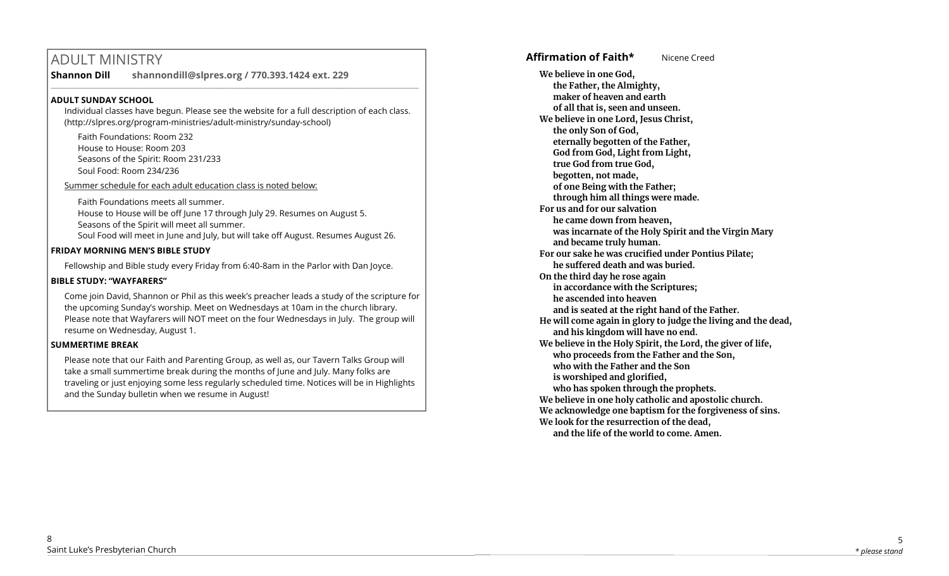# ADULT MINISTRY

**Shannon Dill shannondill@slpres.org / 770.393.1424 ext. 229**   $\_$  ,  $\_$  ,  $\_$  ,  $\_$  ,  $\_$  ,  $\_$  ,  $\_$  ,  $\_$  ,  $\_$  ,  $\_$  ,  $\_$  ,  $\_$  ,  $\_$  ,  $\_$  ,  $\_$  ,  $\_$  ,  $\_$  ,  $\_$  ,  $\_$ 

### **ADULT SUNDAY SCHOOL**

Individual classes have begun. Please see the website for a full description of each class. (http://slpres.org/program-ministries/adult-ministry/sunday-school)

Faith Foundations: Room 232 House to House: Room 203 Seasons of the Spirit: Room 231/233 Soul Food: Room 234/236

Summer schedule for each adult education class is noted below:

Faith Foundations meets all summer. House to House will be off June 17 through July 29. Resumes on August 5. Seasons of the Spirit will meet all summer. Soul Food will meet in June and July, but will take off August. Resumes August 26.

#### **FRIDAY MORNING MEN'S BIBLE STUDY**

Fellowship and Bible study every Friday from 6:40-8am in the Parlor with Dan Joyce.

#### **BIBLE STUDY: "WAYFARERS"**

Come join David, Shannon or Phil as this week's preacher leads a study of the scripture for the upcoming Sunday's worship. Meet on Wednesdays at 10am in the church library. Please note that Wayfarers will NOT meet on the four Wednesdays in July. The group will resume on Wednesday, August 1.

# **SUMMERTIME BREAK**

Please note that our Faith and Parenting Group, as well as, our Tavern Talks Group will take a small summertime break during the months of June and July. Many folks are traveling or just enjoying some less regularly scheduled time. Notices will be in Highlights and the Sunday bulletin when we resume in August!

#### **Affirmation of Faith\*** Nicene Creed **We believe in one God, the Father, the Almighty, maker of heaven and earth of all that is, seen and unseen. We believe in one Lord, Jesus Christ, the only Son of God, eternally begotten of the Father, God from God, Light from Light, true God from true God, begotten, not made, of one Being with the Father; through him all things were made. For us and for our salvation he came down from heaven, was incarnate of the Holy Spirit and the Virgin Mary and became truly human. For our sake he was crucified under Pontius Pilate; he suffered death and was buried. On the third day he rose again in accordance with the Scriptures; he ascended into heaven and is seated at the right hand of the Father. He will come again in glory to judge the living and the dead, and his kingdom will have no end. We believe in the Holy Spirit, the Lord, the giver of life, who proceeds from the Father and the Son, who with the Father and the Son is worshiped and glorified, who has spoken through the prophets. We believe in one holy catholic and apostolic church. We acknowledge one baptism for the forgiveness of sins.**

**We look for the resurrection of the dead, and the life of the world to come. Amen.**